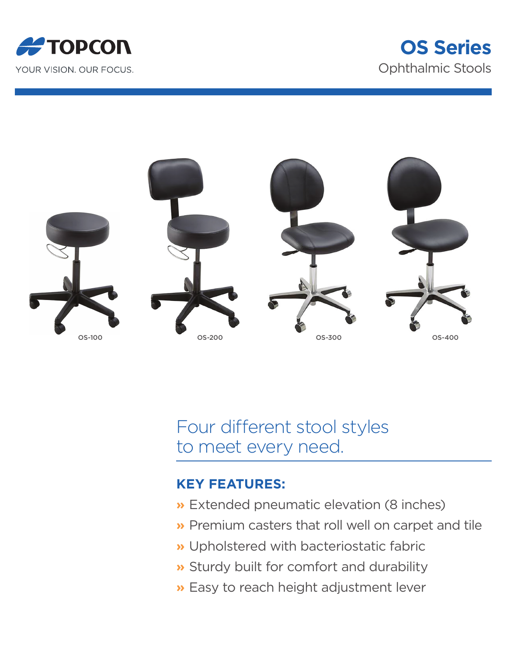





Four different stool styles to meet every need.

## **KEY FEATURES:**

- **»** Extended pneumatic elevation (8 inches)
- **»** Premium casters that roll well on carpet and tile
- **»** Upholstered with bacteriostatic fabric
- **»** Sturdy built for comfort and durability
- **»** Easy to reach height adjustment lever